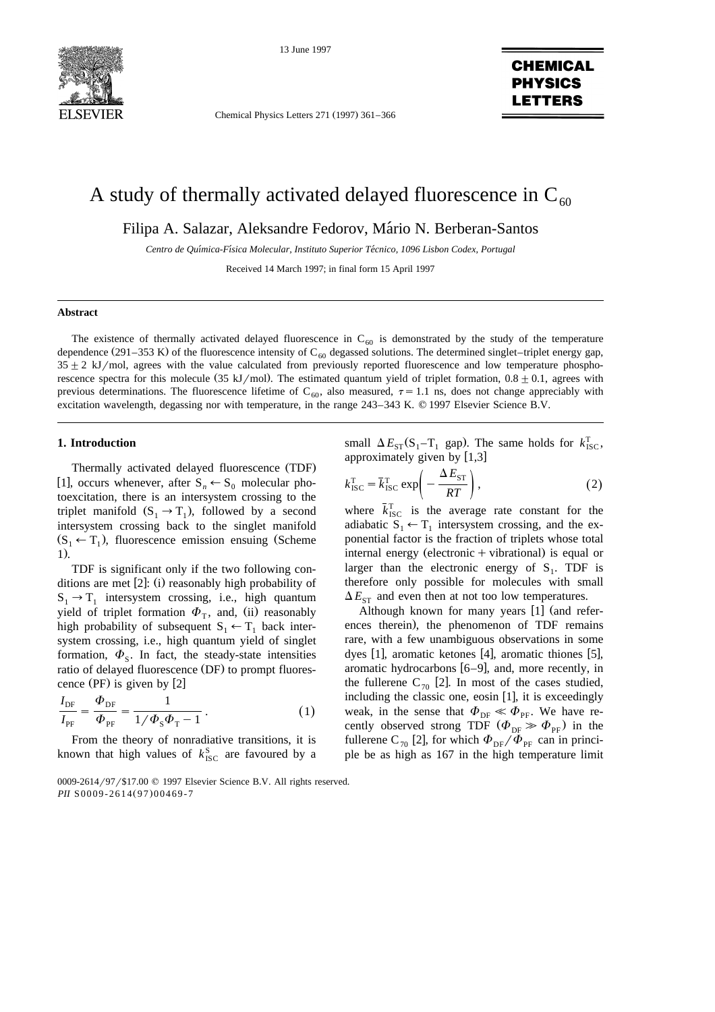

13 June 1997

Chemical Physics Letters 271 (1997) 361-366

CHEMICAL **PHYSICS** LETTERS

# A study of thermally activated delayed fluorescence in  $C_{60}$

Filipa A. Salazar, Aleksandre Fedorov, Mario N. Berberan-Santos ´

*Centro de Quımica-Fısica Molecular, Instituto Superior Tecnico, 1096 Lisbon Codex, Portugal* ´´ ´

Received 14 March 1997; in final form 15 April 1997

#### **Abstract**

The existence of thermally activated delayed fluorescence in  $C_{60}$  is demonstrated by the study of the temperature dependence  $(291-353 \text{ K})$  of the fluorescence intensity of C<sub>60</sub> degassed solutions. The determined singlet–triplet energy gap,  $35 \pm 2$  kJ/mol, agrees with the value calculated from previously reported fluorescence and low temperature phosphorescence spectra for this molecule  $(35 \text{ kJ/mol})$ . The estimated quantum yield of triplet formation,  $0.8 \pm 0.1$ , agrees with previous determinations. The fluorescence lifetime of  $C_{60}$ , also measured,  $\tau = 1.1$  ns, does not change appreciably with excitation wavelength, degassing nor with temperature, in the range 243–343 K. © 1997 Elsevier Science B.V.

#### **1. Introduction**

Thermally activated delayed fluorescence (TDF) [1], occurs whenever, after  $S_n \leftarrow S_0$  molecular photoexcitation, there is an intersystem crossing to the triplet manifold  $(S_1 \rightarrow T_1)$ , followed by a second intersystem crossing back to the singlet manifold  $(S_1 \leftarrow T_1)$ , fluorescence emission ensuing (Scheme  $1$ .

TDF is significant only if the two following conditions are met  $[2]$ : (i) reasonably high probability of  $S_1 \rightarrow T_1$  intersystem crossing, i.e., high quantum yield of triplet formation  $\Phi_{\rm T}$ , and, (ii) reasonably high probability of subsequent  $S_1 \leftarrow T_1$  back intersystem crossing, i.e., high quantum yield of singlet formation,  $\Phi_{\rm s}$ . In fact, the steady-state intensities ratio of delayed fluorescence (DF) to prompt fluorescence (PF) is given by  $[2]$ 

$$
\frac{I_{\rm DF}}{I_{\rm PF}} = \frac{\Phi_{\rm DF}}{\Phi_{\rm PF}} = \frac{1}{1/\Phi_{\rm S}\Phi_{\rm T} - 1} \,. \tag{1}
$$

From the theory of nonradiative transitions, it is known that high values of  $k_{\text{ISC}}^{\text{S}}$  are favoured by a

small  $\Delta E_{ST}$ (S<sub>1</sub>-T<sub>1</sub> gap). The same holds for  $k_{ISC}^T$ , approximately given by  $[1,3]$ 

$$
k_{\text{ISC}}^{\text{T}} = \bar{k}_{\text{ISC}}^{\text{T}} \exp\left(-\frac{\Delta E_{\text{ST}}}{RT}\right),\tag{2}
$$

where  $\vec{k}_{\text{ISC}}^{\text{T}}$  is the average rate constant for the adiabatic  $S_1 \leftarrow T_1$  intersystem crossing, and the exponential factor is the fraction of triplets whose total internal energy (electronic  $+$  vibrational) is equal or larger than the electronic energy of  $S_1$ . TDF is therefore only possible for molecules with small  $\Delta E_{ST}$  and even then at not too low temperatures.

Although known for many years  $[1]$  (and references therein), the phenomenon of TDF remains rare, with a few unambiguous observations in some dyes  $[1]$ , aromatic ketones  $[4]$ , aromatic thiones  $[5]$ , aromatic hydrocarbons  $[6-9]$ , and, more recently, in the fullerene  $C_{70}$  [2]. In most of the cases studied, including the classic one, eosin  $[1]$ , it is exceedingly weak, in the sense that  $\Phi_{\text{DF}} \ll \Phi_{\text{PF}}$ . We have recently observed strong TDF ( $\Phi_{\text{DF}} \gg \Phi_{\text{PF}}$ ) in the fullerene C<sub>70</sub> [2], for which  $\Phi_{DF}/\Phi_{PF}$  can in principle be as high as 167 in the high temperature limit

<sup>0009-2614/97/\$17.00 © 1997</sup> Elsevier Science B.V. All rights reserved. *PII* S0009-2614(97)00469-7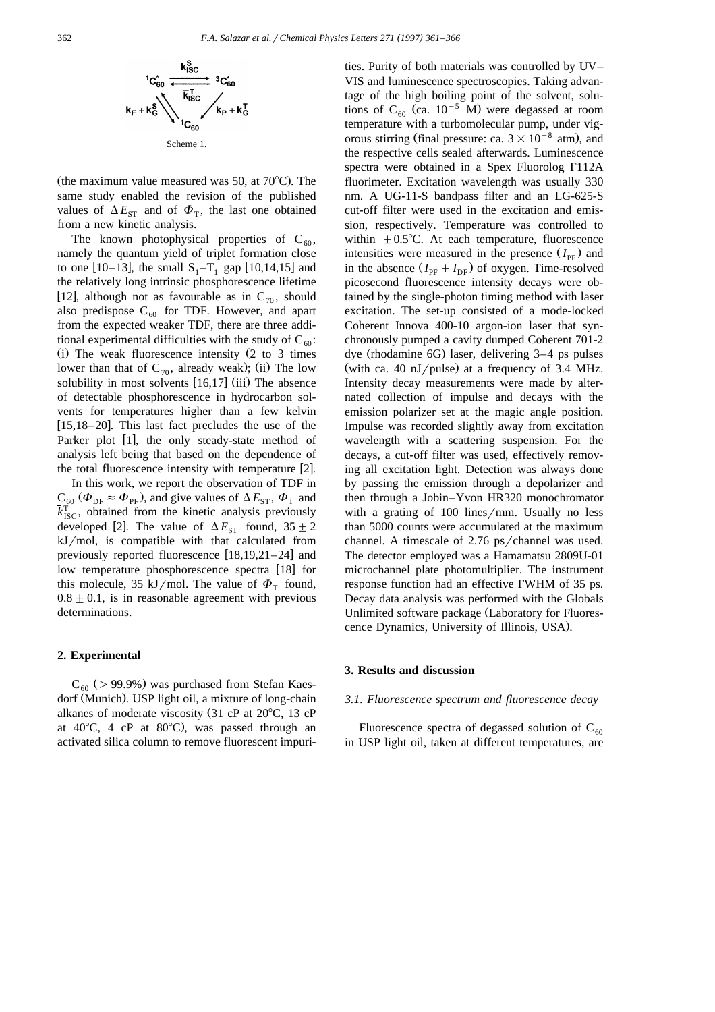

(the maximum value measured was 50, at  $70^{\circ}$ C). The same study enabled the revision of the published values of  $\Delta E_{ST}$  and of  $\Phi_T$ , the last one obtained from a new kinetic analysis.

The known photophysical properties of  $C_{60}$ , namely the quantum yield of triplet formation close to one [10–13], the small  $S_1 - T_1$  gap [10,14,15] and the relatively long intrinsic phosphorescence lifetime [12], although not as favourable as in  $C_{70}$ , should also predispose  $C_{60}$  for TDF. However, and apart from the expected weaker TDF, there are three additional experimental difficulties with the study of  $C_{60}$ : (i) The weak fluorescence intensity  $(2 \text{ to } 3 \text{ times})$ lower than that of  $C_{70}$ , already weak); (ii) The low solubility in most solvents  $[16,17]$  (iii) The absence of detectable phosphorescence in hydrocarbon solvents for temperatures higher than a few kelvin  $[15,18-20]$ . This last fact precludes the use of the Parker plot  $[1]$ , the only steady-state method of analysis left being that based on the dependence of the total fluorescence intensity with temperature  $[2]$ .

In this work, we report the observation of TDF in  $C_{60}$  ( $\Phi_{DF} \approx \Phi_{PF}$ ), and give values of  $\Delta E_{ST}$ ,  $\Phi_{T}$  and  $\overline{k}_{ISC}^{T}$ , obtained from the kinetic analysis previously developed [2]. The value of  $\Delta E_{ST}$  found,  $35 \pm 2$  $kJ/mol$ , is compatible with that calculated from previously reported fluorescence  $[18,19,21-24]$  and low temperature phosphorescence spectra [18] for this molecule, 35 kJ/mol. The value of  $\Phi$ <sub>T</sub> found,  $0.8 \pm 0.1$ , is in reasonable agreement with previous determinations.

#### **2. Experimental**

 $C_{60}$  (> 99.9%) was purchased from Stefan Kaesdorf (Munich). USP light oil, a mixture of long-chain alkanes of moderate viscosity  $(31 \text{ cP at } 20^{\circ}\text{C}, 13 \text{ cP})$ at  $40^{\circ}$ C, 4 cP at  $80^{\circ}$ C), was passed through an activated silica column to remove fluorescent impurities. Purity of both materials was controlled by UV– VIS and luminescence spectroscopies. Taking advantage of the high boiling point of the solvent, solutions of C<sub>60</sub> (ca.  $10^{-5}$  M) were degassed at room temperature with a turbomolecular pump, under vigorous stirring (final pressure: ca.  $3\times10^{-8}$  atm), and the respective cells sealed afterwards. Luminescence spectra were obtained in a Spex Fluorolog F112A fluorimeter. Excitation wavelength was usually 330 nm. A UG-11-S bandpass filter and an LG-625-S cut-off filter were used in the excitation and emission, respectively. Temperature was controlled to within  $\pm 0.5^{\circ}$ C. At each temperature, fluorescence intensities were measured in the presence  $(I_{\text{PF}})$  and in the absence  $(I_{\text{PF}} + I_{\text{DF}})$  of oxygen. Time-resolved picosecond fluorescence intensity decays were obtained by the single-photon timing method with laser excitation. The set-up consisted of a mode-locked Coherent Innova 400-10 argon-ion laser that synchronously pumped a cavity dumped Coherent 701-2 dye (rhodamine  $6G$ ) laser, delivering  $3-4$  ps pulses (with ca. 40 nJ/pulse) at a frequency of 3.4 MHz. Intensity decay measurements were made by alternated collection of impulse and decays with the emission polarizer set at the magic angle position. Impulse was recorded slightly away from excitation wavelength with a scattering suspension. For the decays, a cut-off filter was used, effectively removing all excitation light. Detection was always done by passing the emission through a depolarizer and then through a Jobin–Yvon HR320 monochromator with a grating of  $100$  lines/mm. Usually no less than 5000 counts were accumulated at the maximum channel. A timescale of  $2.76$  ps/channel was used. The detector employed was a Hamamatsu 2809U-01 microchannel plate photomultiplier. The instrument response function had an effective FWHM of 35 ps. Decay data analysis was performed with the Globals Unlimited software package (Laboratory for Fluorescence Dynamics, University of Illinois, USA).

#### **3. Results and discussion**

### *3.1. Fluorescence spectrum and fluorescence decay*

Fluorescence spectra of degassed solution of  $C_{60}$ in USP light oil, taken at different temperatures, are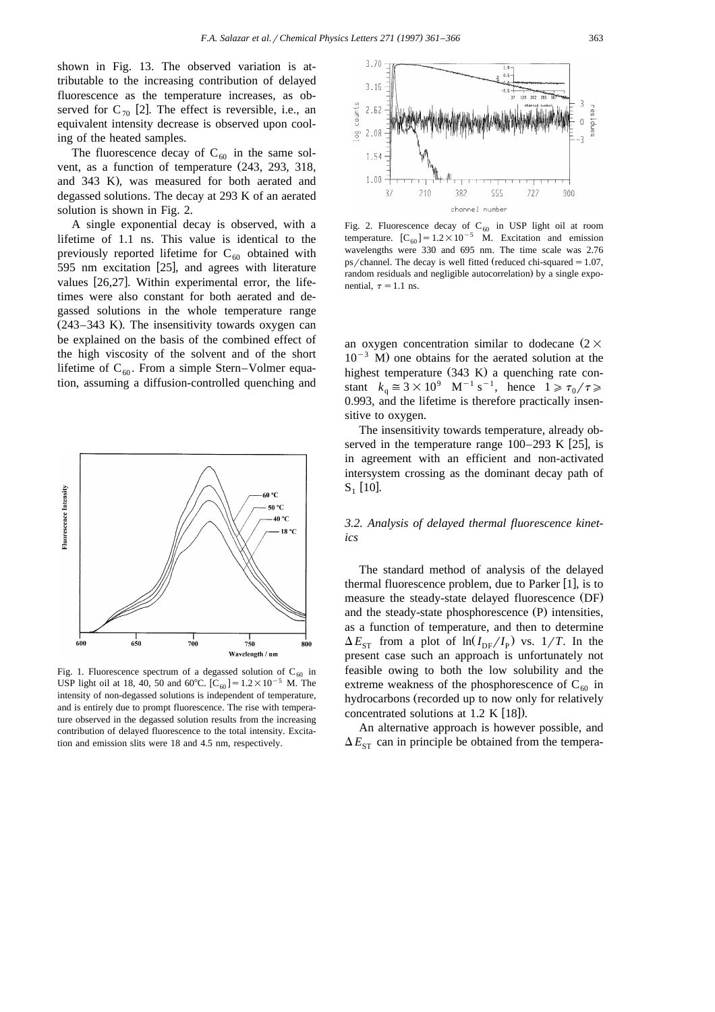shown in Fig. 13. The observed variation is attributable to the increasing contribution of delayed fluorescence as the temperature increases, as observed for  $C_{70}$  [2]. The effect is reversible, i.e., an equivalent intensity decrease is observed upon cooling of the heated samples.

The fluorescence decay of  $C_{60}$  in the same solvent, as a function of temperature  $(243, 293, 318,$ and 343 K), was measured for both aerated and degassed solutions. The decay at 293 K of an aerated solution is shown in Fig. 2.

A single exponential decay is observed, with a lifetime of 1.1 ns. This value is identical to the previously reported lifetime for  $C_{60}$  obtained with 595 nm excitation  $[25]$ , and agrees with literature values  $[26,27]$ . Within experimental error, the lifetimes were also constant for both aerated and degassed solutions in the whole temperature range  $(243-343 \text{ K})$ . The insensitivity towards oxygen can be explained on the basis of the combined effect of the high viscosity of the solvent and of the short lifetime of  $C_{60}$ . From a simple Stern–Volmer equation, assuming a diffusion-controlled quenching and



Fig. 1. Fluorescence spectrum of a degassed solution of  $C_{60}$  in USP light oil at 18, 40, 50 and 60°C.  $[C_{60}] = 1.2 \times 10^{-5}$  M. The intensity of non-degassed solutions is independent of temperature, and is entirely due to prompt fluorescence. The rise with temperature observed in the degassed solution results from the increasing contribution of delayed fluorescence to the total intensity. Excitation and emission slits were 18 and 4.5 nm, respectively.



Fig. 2. Fluorescence decay of  $C_{60}$  in USP light oil at room temperature.  $[C_{60}] = 1.2 \times 10^{-5}$  M. Excitation and emission wavelengths were 330 and 695 nm. The time scale was 2.76 ps/channel. The decay is well fitted (reduced chi-squared  $= 1.07$ , random residuals and negligible autocorrelation) by a single exponential,  $\tau = 1.1$  ns.

an oxygen concentration similar to dodecane  $(2 \times 10^{-3}$  M) one obtains for the aerated solution at the highest temperature  $(343 \text{ K})$  a quenching rate constant  $k_{\text{q}} \approx 3 \times 10^9 \text{ M}^{-1} \text{ s}^{-1}$ , hence  $1 \ge \tau_0/\tau \ge 1$ 0.993, and the lifetime is therefore practically insensitive to oxygen.

The insensitivity towards temperature, already observed in the temperature range  $100-293$  K [25], is in agreement with an efficient and non-activated intersystem crossing as the dominant decay path of  $S_1$  [10].

# *3.2. Analysis of delayed thermal fluorescence kinetics*

The standard method of analysis of the delayed thermal fluorescence problem, due to Parker  $[1]$ , is to measure the steady-state delayed fluorescence (DF) and the steady-state phosphorescence (P) intensities, as a function of temperature, and then to determine  $\Delta E_{ST}$  from a plot of  $\ln(I_{DF}/I_{P})$  vs. 1/*T*. In the present case such an approach is unfortunately not feasible owing to both the low solubility and the extreme weakness of the phosphorescence of  $C_{60}$  in hydrocarbons (recorded up to now only for relatively concentrated solutions at 1.2 K  $[18]$ .

An alternative approach is however possible, and  $\Delta E_{ST}$  can in principle be obtained from the tempera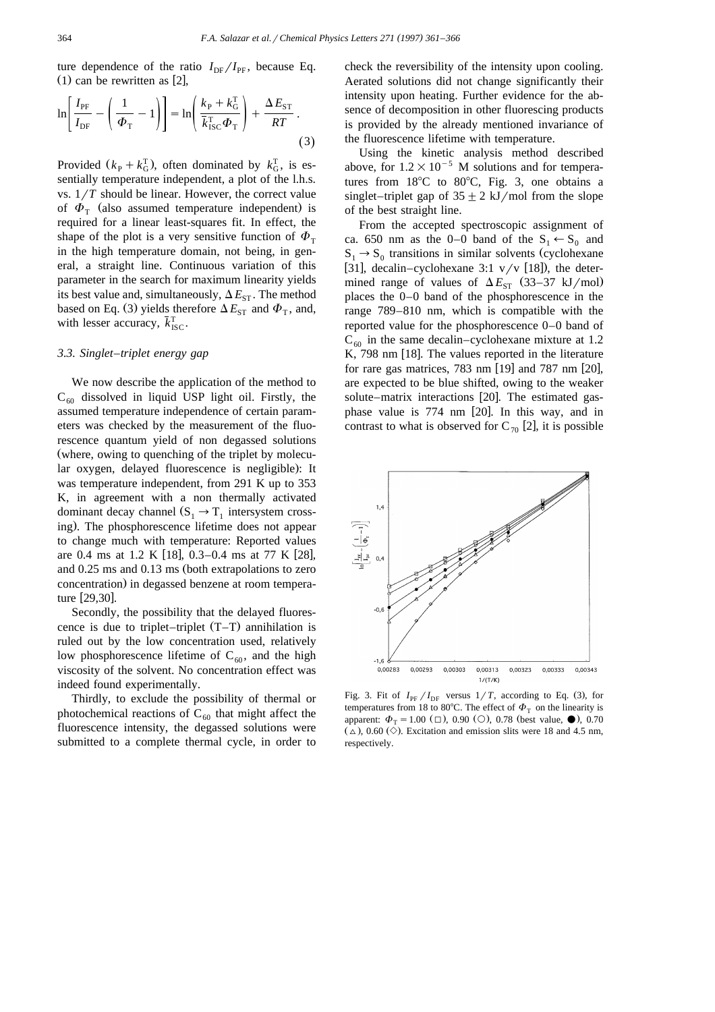ture dependence of the ratio  $I_{\text{DF}}/I_{\text{PF}}$ , because Eq.  $(1)$  can be rewritten as  $[2]$ ,

$$
\ln\left[\frac{I_{\rm PF}}{I_{\rm DF}} - \left(\frac{1}{\Phi_{\rm T}} - 1\right)\right] = \ln\left(\frac{k_{\rm P} + k_{\rm G}^{\rm T}}{\bar{k}_{\rm ISC}^{\rm T} \Phi_{\rm T}}\right) + \frac{\Delta E_{\rm ST}}{RT} \,. \tag{3}
$$

Provided  $(k_{\rm p} + k_{\rm G}^{\rm T})$ , often dominated by  $k_{\rm G}^{\rm T}$ , is essentially temperature independent, a plot of the l.h.s. vs.  $1/T$  should be linear. However, the correct value of  $\Phi$ <sub>T</sub> (also assumed temperature independent) is required for a linear least-squares fit. In effect, the shape of the plot is a very sensitive function of  $\Phi$ <sub>T</sub> in the high temperature domain, not being, in general, a straight line. Continuous variation of this parameter in the search for maximum linearity yields its best value and, simultaneously,  $\Delta E_{ST}$ . The method based on Eq. (3) yields therefore  $\Delta E_{ST}$  and  $\Phi_T$ , and, with lesser accuracy,  $\overline{k}_{ISC}^T$ .

#### *3.3. Singlet–triplet energy gap*

We now describe the application of the method to  $C_{60}$  dissolved in liquid USP light oil. Firstly, the assumed temperature independence of certain parameters was checked by the measurement of the fluorescence quantum yield of non degassed solutions (where, owing to quenching of the triplet by molecular oxygen, delayed fluorescence is negligible): It was temperature independent, from 291 K up to 353 K, in agreement with a non thermally activated dominant decay channel  $(S_1 \rightarrow T_1$  intersystem crossing). The phosphorescence lifetime does not appear to change much with temperature: Reported values are 0.4 ms at 1.2 K [18], 0.3–0.4 ms at 77 K [28], and  $0.25$  ms and  $0.13$  ms (both extrapolations to zero concentration) in degassed benzene at room temperature  $[29, 30]$ .

Secondly, the possibility that the delayed fluorescence is due to triplet–triplet  $(T-T)$  annihilation is ruled out by the low concentration used, relatively low phosphorescence lifetime of  $C_{60}$ , and the high viscosity of the solvent. No concentration effect was indeed found experimentally.

Thirdly, to exclude the possibility of thermal or photochemical reactions of  $C_{60}$  that might affect the fluorescence intensity, the degassed solutions were submitted to a complete thermal cycle, in order to check the reversibility of the intensity upon cooling. Aerated solutions did not change significantly their intensity upon heating. Further evidence for the absence of decomposition in other fluorescing products is provided by the already mentioned invariance of the fluorescence lifetime with temperature.

Using the kinetic analysis method described above, for  $1.2\times10^{-5}$  M solutions and for temperatures from  $18^{\circ}$ C to  $80^{\circ}$ C, Fig. 3, one obtains a singlet–triplet gap of  $35 + 2$  kJ/mol from the slope of the best straight line.

From the accepted spectroscopic assignment of ca. 650 nm as the 0–0 band of the  $S_1 \leftarrow S_0$  and  $S_1 \rightarrow S_0$  transitions in similar solvents (cyclohexane [31], decalin–cyclohexane 3:1  $v/v$  [18]), the determined range of values of  $\Delta E_{ST}$  (33–37 kJ/mol) places the 0–0 band of the phosphorescence in the range 789–810 nm, which is compatible with the reported value for the phosphorescence 0–0 band of  $C_{60}$  in the same decalin–cyclohexane mixture at 1.2 K, 798 nm [18]. The values reported in the literature for rare gas matrices, 783 nm [19] and 787 nm [20], are expected to be blue shifted, owing to the weaker solute–matrix interactions [20]. The estimated gasphase value is  $774 \text{ nm}$  [20]. In this way, and in contrast to what is observed for  $C_{70}$  [2], it is possible



Fig. 3. Fit of  $I_{PF}/I_{DF}$  versus  $1/T$ , according to Eq. (3), for temperatures from 18 to 80°C. The effect of  $\Phi$ <sub>T</sub> on the linearity is apparent:  $\Phi_{\rm T} = 1.00 \ (\Box)$ , 0.90 (O), 0.78 (best value,  $\bullet$ ), 0.70  $(\triangle)$ , 0.60  $(\diamond)$ . Excitation and emission slits were 18 and 4.5 nm, respectively.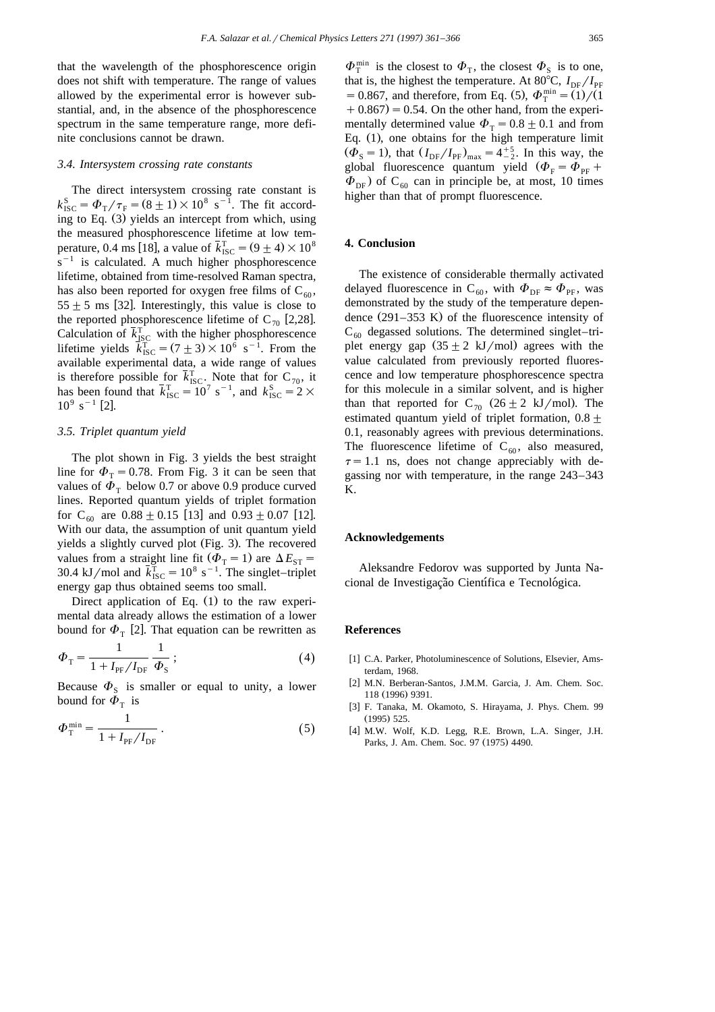that the wavelength of the phosphorescence origin does not shift with temperature. The range of values allowed by the experimental error is however substantial, and, in the absence of the phosphorescence spectrum in the same temperature range, more definite conclusions cannot be drawn.

#### *3.4. Intersystem crossing rate constants*

The direct intersystem crossing rate constant is  $k_{\text{ISC}}^{\text{S}} = \Phi_{\text{T}} / \tau_{\text{F}} = (8 \pm 1) \times 10^8 \text{ s}^{-1}$ . The fit according to Eq.  $(3)$  yields an intercept from which, using the measured phosphorescence lifetime at low tem perature, 0.4 ms [18], a value of  $\overline{k}_{\text{ISC}}^{\text{T}} = (9 \pm 4) \times 10^8$  $s^{-1}$  is calculated. A much higher phosphorescence lifetime, obtained from time-resolved Raman spectra, has also been reported for oxygen free films of  $C_{60}$ ,  $55 \pm 5$  ms [32]. Interestingly, this value is close to the reported phosphorescence lifetime of C<sub>70</sub> [2,28]. Calculation of  $\bar{k}_{\text{ISC}}^T$  with the higher phosphorescence lifetime yields  $k_{\text{ISC}}^{\text{T}} = (7 \pm 3) \times 10^6 \text{ s}^{-1}$ . From the available experimental data, a wide range of values is therefore possible for  $\overline{k}_{\text{ISC}}^{\text{T}}$ . Note that for C<sub>70</sub>, it has been found that  $\overline{k}_{\text{ISC}}^{\text{T}} = 10^7 \text{ s}^{-1}$ , and  $k_{\text{ISC}}^{\text{S}} = 2 \times 10^9 \text{ s}^{-1}$  [2].

#### *3.5. Triplet quantum yield*

The plot shown in Fig. 3 yields the best straight line for  $\Phi$ <sub>T</sub> = 0.78. From Fig. 3 it can be seen that values of  $\Phi_{\rm T}$  below 0.7 or above 0.9 produce curved lines. Reported quantum yields of triplet formation for C<sub>60</sub> are  $0.88 \pm 0.15$  [13] and  $0.93 \pm 0.07$  [12]. With our data, the assumption of unit quantum yield yields a slightly curved plot (Fig. 3). The recovered values from a straight line fit ( $\Phi_T = 1$ ) are  $\Delta E_{ST} = 30.4 \text{ kJ/mol}$  and  $\bar{k}_{\text{ISC}}^T = 10^8 \text{ s}^{-1}$ . The singlet–triplet energy gap thus obtained seems too small.

Direct application of Eq.  $(1)$  to the raw experimental data already allows the estimation of a lower bound for  $\Phi_{\text{T}}$  [2]. That equation can be rewritten as

$$
\Phi_{\rm T} = \frac{1}{1 + I_{\rm PF}/I_{\rm DF}} \frac{1}{\Phi_{\rm S}} \, ; \tag{4}
$$

Because  $\Phi_{\rm S}$  is smaller or equal to unity, a lower bound for  $\Phi$ <sub>T</sub> is

$$
\Phi_{\rm T}^{\rm min} = \frac{1}{1 + I_{\rm PF}/I_{\rm DF}} \,. \tag{5}
$$

 $\Phi_{\rm T}^{\rm min}$  is the closest to  $\Phi_{\rm T}$ , the closest  $\Phi_{\rm S}$  is to one, that is, the highest the temperature. At 80°C,  $I_{DF}/I_{PF}$  $\Phi = 0.867$ , and therefore, from Eq. (5),  $\Phi_T^{\min} = (1) / (1)$  $(1 + 0.867) = 0.54$ . On the other hand, from the experimentally determined value  $\Phi$ <sub>T</sub> = 0.8  $\pm$  0.1 and from Eq.  $(1)$ , one obtains for the high temperature limit  $(\Phi_{\rm S} = 1)$ , that  $(I_{\rm DF}/I_{\rm PF})_{\rm max} = 4^{+5}_{-2}$ . In this way, the global fluorescence quantum yield  $(\Phi_F = \Phi_{PF} +$  $\Phi_{\text{DF}}$ ) of C<sub>60</sub> can in principle be, at most, 10 times higher than that of prompt fluorescence.

## **4. Conclusion**

The existence of considerable thermally activated delayed fluorescence in C<sub>60</sub>, with  $\Phi_{\text{DF}} \approx \Phi_{\text{PF}}$ , was demonstrated by the study of the temperature dependence  $(291-353 \text{ K})$  of the fluorescence intensity of  $C_{60}$  degassed solutions. The determined singlet–triplet energy gap  $(35 \pm 2 \text{ kJ/mol})$  agrees with the value calculated from previously reported fluorescence and low temperature phosphorescence spectra for this molecule in a similar solvent, and is higher than that reported for  $C_{70}$  (26  $\pm$  2 kJ/mol). The estimated quantum yield of triplet formation,  $0.8 \pm$ 0.1, reasonably agrees with previous determinations. The fluorescence lifetime of  $C_{60}$ , also measured,  $\tau=1.1$  ns, does not change appreciably with degassing nor with temperature, in the range 243–343 K.

#### **Acknowledgements**

Aleksandre Fedorov was supported by Junta Nacional de Investigação Científica e Tecnológica.

#### **References**

- [1] C.A. Parker, Photoluminescence of Solutions, Elsevier, Amsterdam, 1968.
- [2] M.N. Berberan-Santos, J.M.M. Garcia, J. Am. Chem. Soc. 118 (1996) 9391.
- [3] F. Tanaka, M. Okamoto, S. Hirayama, J. Phys. Chem. 99  $(1995)$  525.
- [4] M.W. Wolf, K.D. Legg, R.E. Brown, L.A. Singer, J.H. Parks, J. Am. Chem. Soc. 97 (1975) 4490.